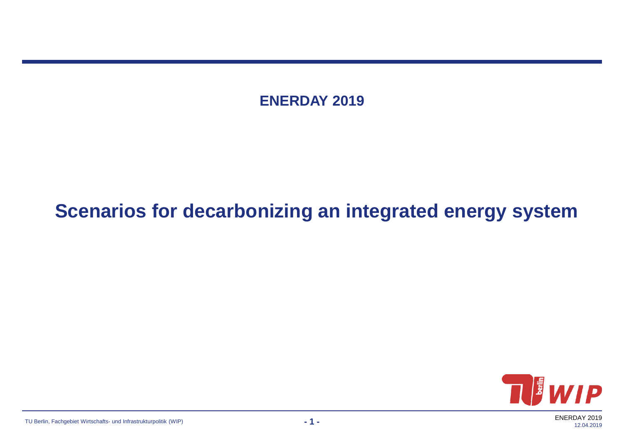**ENERDAY 2019**

#### **Scenarios for decarbonizing an integrated energy system**



ENERDAY 2019 12.04.2019

TU Berlin, Fachgebiet Wirtschafts- und Infrastrukturpolitik (WIP) **- 1 -**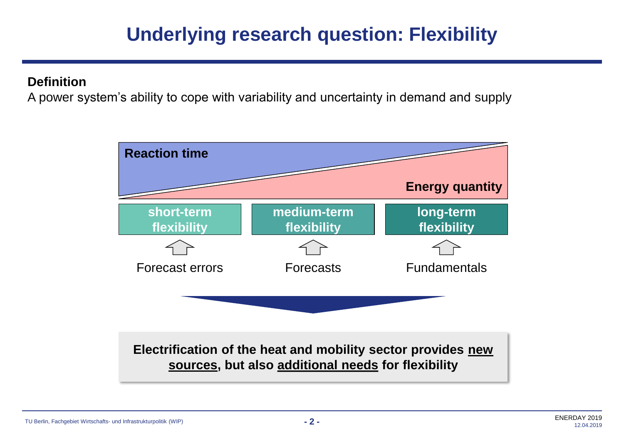## **Underlying research question: Flexibility**

#### **Definition**

A power system's ability to cope with variability and uncertainty in demand and supply

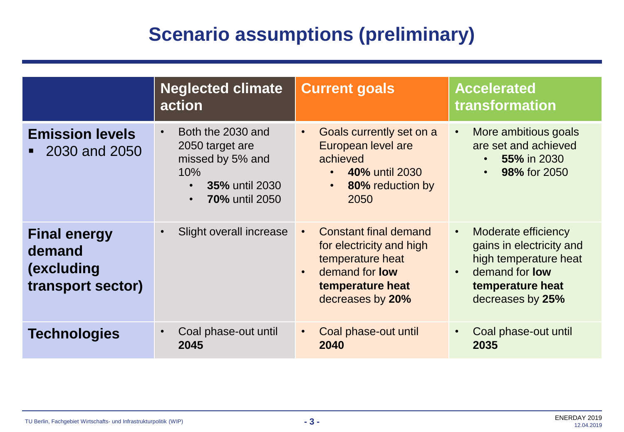## **Scenario assumptions (preliminary)**

|                                                                  | <b>Neglected climate</b><br>action                                                                                                          | <b>Current goals</b>                                                                                                                                                    | <b>Accelerated</b><br>transformation                                                                                                                                |
|------------------------------------------------------------------|---------------------------------------------------------------------------------------------------------------------------------------------|-------------------------------------------------------------------------------------------------------------------------------------------------------------------------|---------------------------------------------------------------------------------------------------------------------------------------------------------------------|
| <b>Emission levels</b><br>2030 and 2050                          | Both the 2030 and<br>2050 target are<br>missed by 5% and<br>10%<br><b>35% until 2030</b><br>$\bullet$<br><b>70% until 2050</b><br>$\bullet$ | Goals currently set on a<br>$\bullet$<br>European level are<br>achieved<br><b>40% until 2030</b><br>$\bullet$<br>80% reduction by<br>$\bullet$<br>2050                  | More ambitious goals<br>$\bullet$<br>are set and achieved<br>55% in 2030<br><b>98% for 2050</b>                                                                     |
| <b>Final energy</b><br>demand<br>(excluding<br>transport sector) | Slight overall increase                                                                                                                     | <b>Constant final demand</b><br>$\bullet$<br>for electricity and high<br>temperature heat<br>demand for <b>low</b><br>$\bullet$<br>temperature heat<br>decreases by 20% | Moderate efficiency<br>$\bullet$<br>gains in electricity and<br>high temperature heat<br>demand for <b>low</b><br>$\bullet$<br>temperature heat<br>decreases by 25% |
| <b>Technologies</b>                                              | Coal phase-out until<br>2045                                                                                                                | Coal phase-out until<br>$\bullet$<br>2040                                                                                                                               | Coal phase-out until<br>$\bullet$<br>2035                                                                                                                           |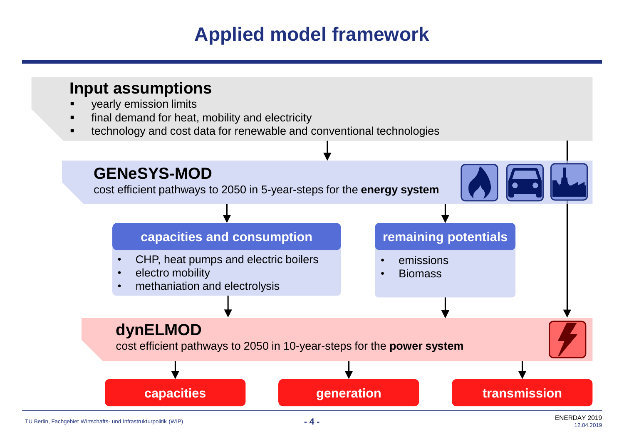## **Applied model framework**



TU Berlin, Fachgebiet Wirtschafts- und Infrastrukturpolitik (WIP) **- 4 -**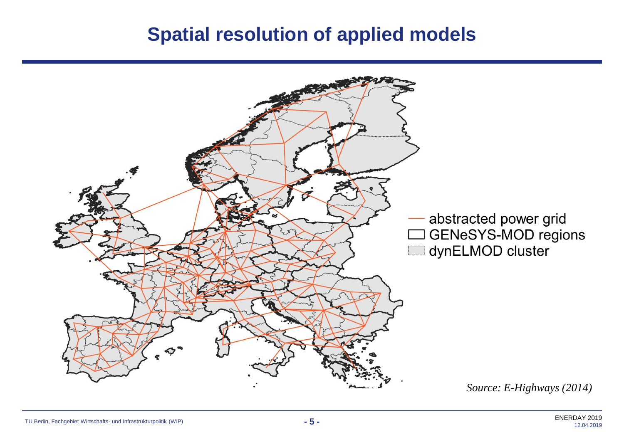#### **Spatial resolution of applied models**

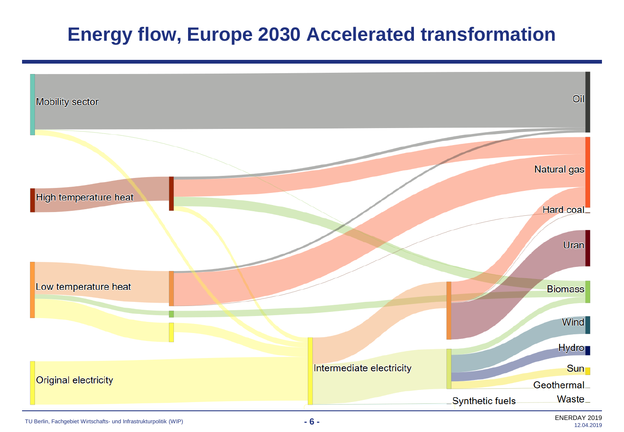## **Energy flow, Europe 2030 Accelerated transformation**

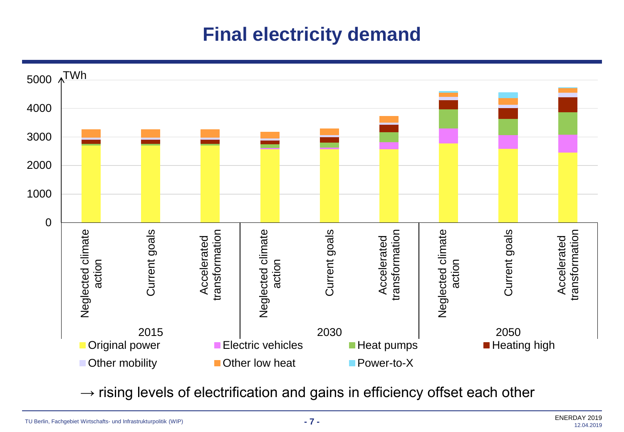## **Final electricity demand**



 $\rightarrow$  rising levels of electrification and gains in efficiency offset each other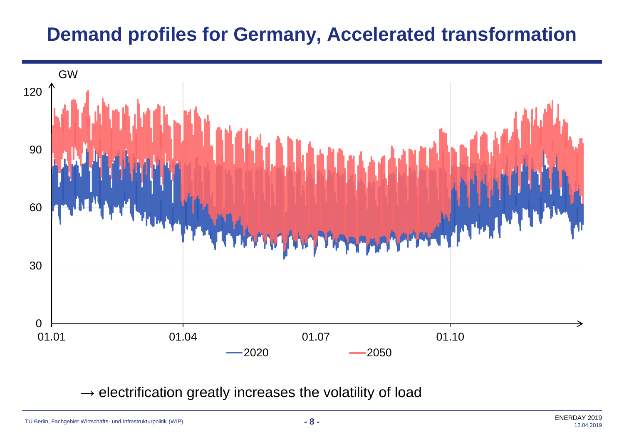#### **Demand profiles for Germany, Accelerated transformation**



 $\rightarrow$  electrification greatly increases the volatility of load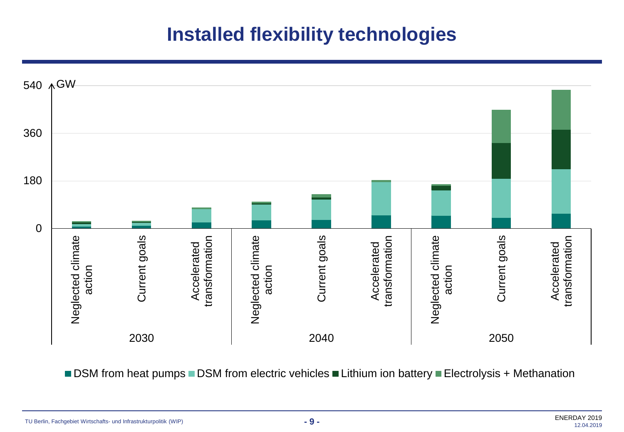### **Installed flexibility technologies**



■ DSM from heat pumps ■ DSM from electric vehicles ■ Lithium ion battery ■ Electrolysis + Methanation

TU Berlin, Fachgebiet Wirtschafts- und Infrastrukturpolitik (WIP) **- 9 -**

ENERDAY 2019 12.04.2019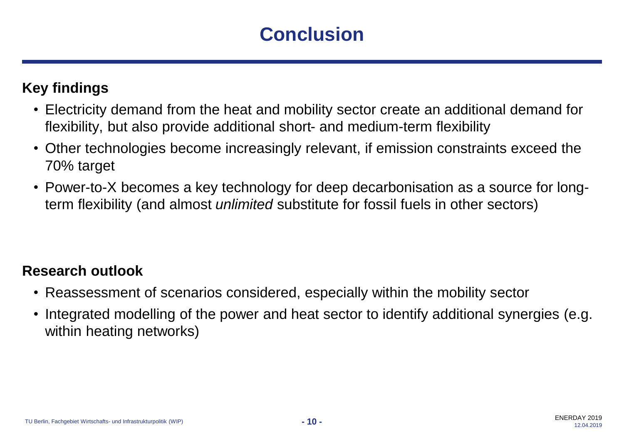# **Conclusion**

#### **Key findings**

- Electricity demand from the heat and mobility sector create an additional demand for flexibility, but also provide additional short- and medium-term flexibility
- Other technologies become increasingly relevant, if emission constraints exceed the 70% target
- Power-to-X becomes a key technology for deep decarbonisation as a source for longterm flexibility (and almost *unlimited* substitute for fossil fuels in other sectors)

#### **Research outlook**

- Reassessment of scenarios considered, especially within the mobility sector
- Integrated modelling of the power and heat sector to identify additional synergies (e.g. within heating networks)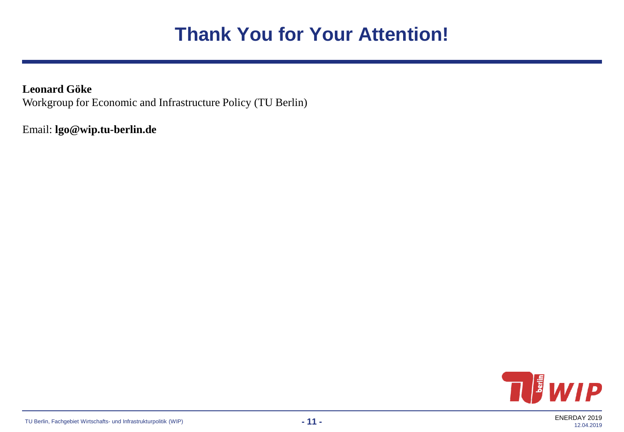## **Thank You for Your Attention!**

**Leonard Göke** Workgroup for Economic and Infrastructure Policy (TU Berlin)

Email: **lgo@wip.tu-berlin.de**

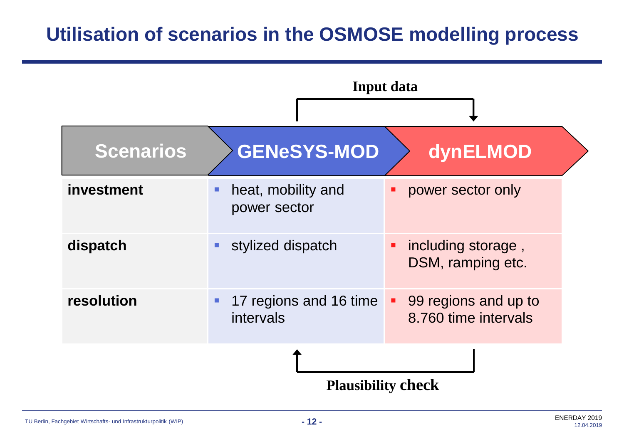### **Utilisation of scenarios in the OSMOSE modelling process**

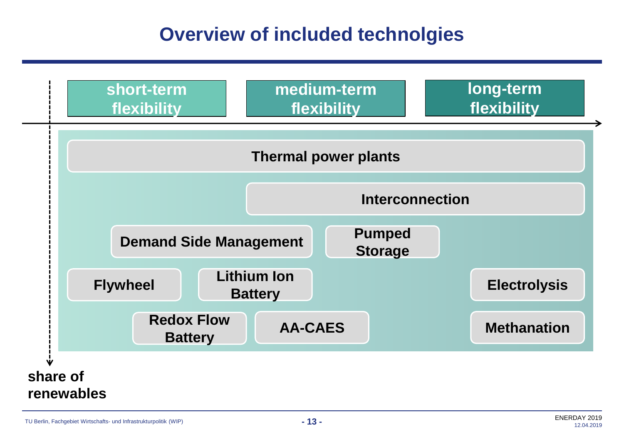## **Overview of included technolgies**